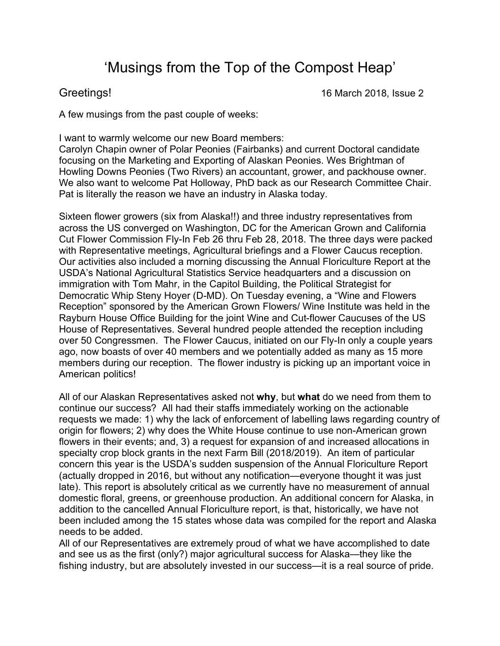## 'Musings from the Top of the Compost Heap'

Greetings! 16 March 2018, Issue 2

A few musings from the past couple of weeks:

I want to warmly welcome our new Board members:

Carolyn Chapin owner of Polar Peonies (Fairbanks) and current Doctoral candidate focusing on the Marketing and Exporting of Alaskan Peonies. Wes Brightman of Howling Downs Peonies (Two Rivers) an accountant, grower, and packhouse owner. We also want to welcome Pat Holloway, PhD back as our Research Committee Chair. Pat is literally the reason we have an industry in Alaska today.

Sixteen flower growers (six from Alaska!!) and three industry representatives from across the US converged on Washington, DC for the American Grown and California Cut Flower Commission Fly-In Feb 26 thru Feb 28, 2018. The three days were packed with Representative meetings, Agricultural briefings and a Flower Caucus reception. Our activities also included a morning discussing the Annual Floriculture Report at the USDA's National Agricultural Statistics Service headquarters and a discussion on immigration with Tom Mahr, in the Capitol Building, the Political Strategist for Democratic Whip Steny Hoyer (D-MD). On Tuesday evening, a "Wine and Flowers Reception" sponsored by the American Grown Flowers/ Wine Institute was held in the Rayburn House Office Building for the joint Wine and Cut-flower Caucuses of the US House of Representatives. Several hundred people attended the reception including over 50 Congressmen. The Flower Caucus, initiated on our Fly-In only a couple years ago, now boasts of over 40 members and we potentially added as many as 15 more members during our reception. The flower industry is picking up an important voice in American politics!

All of our Alaskan Representatives asked not **why**, but **what** do we need from them to continue our success? All had their staffs immediately working on the actionable requests we made: 1) why the lack of enforcement of labelling laws regarding country of origin for flowers; 2) why does the White House continue to use non-American grown flowers in their events; and, 3) a request for expansion of and increased allocations in specialty crop block grants in the next Farm Bill (2018/2019). An item of particular concern this year is the USDA's sudden suspension of the Annual Floriculture Report (actually dropped in 2016, but without any notification—everyone thought it was just late). This report is absolutely critical as we currently have no measurement of annual domestic floral, greens, or greenhouse production. An additional concern for Alaska, in addition to the cancelled Annual Floriculture report, is that, historically, we have not been included among the 15 states whose data was compiled for the report and Alaska needs to be added.

All of our Representatives are extremely proud of what we have accomplished to date and see us as the first (only?) major agricultural success for Alaska—they like the fishing industry, but are absolutely invested in our success—it is a real source of pride.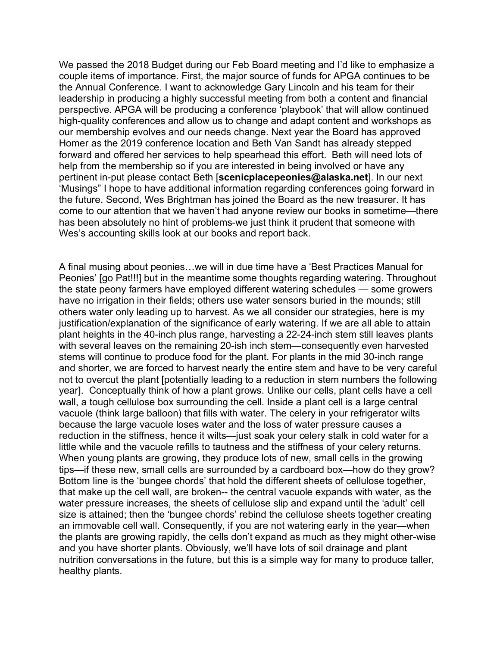We passed the 2018 Budget during our Feb Board meeting and I'd like to emphasize a couple items of importance. First, the major source of funds for APGA continues to be the Annual Conference. I want to acknowledge Gary Lincoln and his team for their leadership in producing a highly successful meeting from both a content and financial perspective. APGA will be producing a conference 'playbook' that will allow continued high-quality conferences and allow us to change and adapt content and workshops as our membership evolves and our needs change. Next year the Board has approved Homer as the 2019 conference location and Beth Van Sandt has already stepped forward and offered her services to help spearhead this effort. Beth will need lots of help from the membership so if you are interested in being involved or have any pertinent in-put please contact Beth [**scenicplacepeonies@alaska.net**]. In our next 'Musings" I hope to have additional information regarding conferences going forward in the future. Second, Wes Brightman has joined the Board as the new treasurer. It has come to our attention that we haven't had anyone review our books in sometime—there has been absolutely no hint of problems-we just think it prudent that someone with Wes's accounting skills look at our books and report back.

A final musing about peonies…we will in due time have a 'Best Practices Manual for Peonies' [go Pat!!!] but in the meantime some thoughts regarding watering. Throughout the state peony farmers have employed different watering schedules — some growers have no irrigation in their fields; others use water sensors buried in the mounds; still others water only leading up to harvest. As we all consider our strategies, here is my justification/explanation of the significance of early watering. If we are all able to attain plant heights in the 40-inch plus range, harvesting a 22-24-inch stem still leaves plants with several leaves on the remaining 20-ish inch stem—consequently even harvested stems will continue to produce food for the plant. For plants in the mid 30-inch range and shorter, we are forced to harvest nearly the entire stem and have to be very careful not to overcut the plant [potentially leading to a reduction in stem numbers the following year]. Conceptually think of how a plant grows. Unlike our cells, plant cells have a cell wall, a tough cellulose box surrounding the cell. Inside a plant cell is a large central vacuole (think large balloon) that fills with water. The celery in your refrigerator wilts because the large vacuole loses water and the loss of water pressure causes a reduction in the stiffness, hence it wilts—just soak your celery stalk in cold water for a little while and the vacuole refills to tautness and the stiffness of your celery returns. When young plants are growing, they produce lots of new, small cells in the growing tips—if these new, small cells are surrounded by a cardboard box—how do they grow? Bottom line is the 'bungee chords' that hold the different sheets of cellulose together, that make up the cell wall, are broken-- the central vacuole expands with water, as the water pressure increases, the sheets of cellulose slip and expand until the 'adult' cell size is attained; then the 'bungee chords' rebind the cellulose sheets together creating an immovable cell wall. Consequently, if you are not watering early in the year—when the plants are growing rapidly, the cells don't expand as much as they might other-wise and you have shorter plants. Obviously, we'll have lots of soil drainage and plant nutrition conversations in the future, but this is a simple way for many to produce taller, healthy plants.